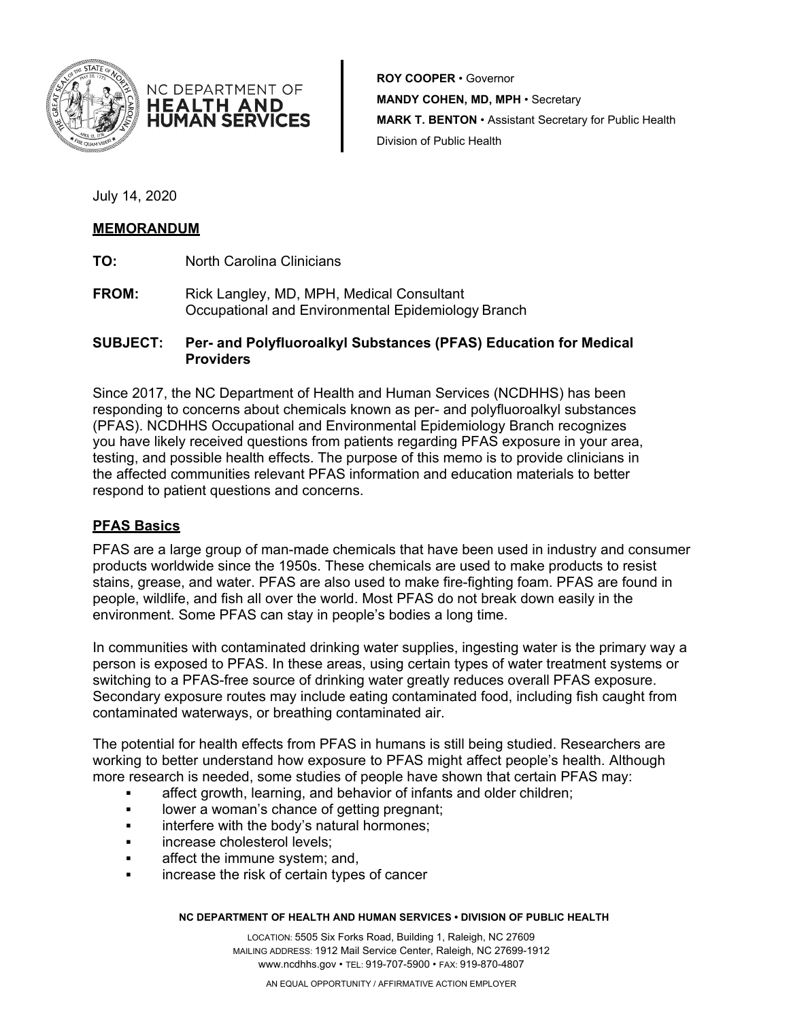

**ROY COOPER** • Governor **MANDY COHEN, MD, MPH** • Secretary **MARK T. BENTON** • Assistant Secretary for Public Health Division of Public Health

July 14, 2020

# **MEMORANDUM**

**TO:** North Carolina Clinicians

NC DEPARTMENT OF **HEALTH AND HUMAN SERVICES** 

**FROM:** Rick Langley, MD, MPH, Medical Consultant Occupational and Environmental Epidemiology Branch

# **SUBJECT: Per- and Polyfluoroalkyl Substances (PFAS) Education for Medical Providers**

Since 2017, the NC Department of Health and Human Services (NCDHHS) has been responding to concerns about chemicals known as per- and polyfluoroalkyl substances (PFAS). NCDHHS Occupational and Environmental Epidemiology Branch recognizes you have likely received questions from patients regarding PFAS exposure in your area, testing, and possible health effects. The purpose of this memo is to provide clinicians in the affected communities relevant PFAS information and education materials to better respond to patient questions and concerns.

# **PFAS Basics**

PFAS are a large group of man-made chemicals that have been used in industry and consumer products worldwide since the 1950s. These chemicals are used to make products to resist stains, grease, and water. PFAS are also used to make fire-fighting foam. PFAS are found in people, wildlife, and fish all over the world. Most PFAS do not break down easily in the environment. Some PFAS can stay in people's bodies a long time.

In communities with contaminated drinking water supplies, ingesting water is the primary way a person is exposed to PFAS. In these areas, using certain types of water treatment systems or switching to a PFAS-free source of drinking water greatly reduces overall PFAS exposure. Secondary exposure routes may include eating contaminated food, including fish caught from contaminated waterways, or breathing contaminated air.

The potential for health effects from PFAS in humans is still being studied. Researchers are working to better understand how exposure to PFAS might affect people's health. Although more research is needed, some studies of people have shown that certain PFAS may:

- affect growth, learning, and behavior of infants and older children;
- lower a woman's chance of getting pregnant;
- **Example 1** interfere with the body's natural hormones:
- **increase cholesterol levels:**
- **Example 2** affect the immune system; and,
- increase the risk of certain types of cancer

#### **NC DEPARTMENT OF HEALTH AND HUMAN SERVICES • DIVISION OF PUBLIC HEALTH**

LOCATION: 5505 Six Forks Road, Building 1, Raleigh, NC 27609 MAILING ADDRESS: 1912 Mail Service Center, Raleigh, NC 27699-1912 [www.ncdhhs.gov](http://www.ncdhhs.gov/) • TEL: 919-707-5900 • FAX: 919-870-4807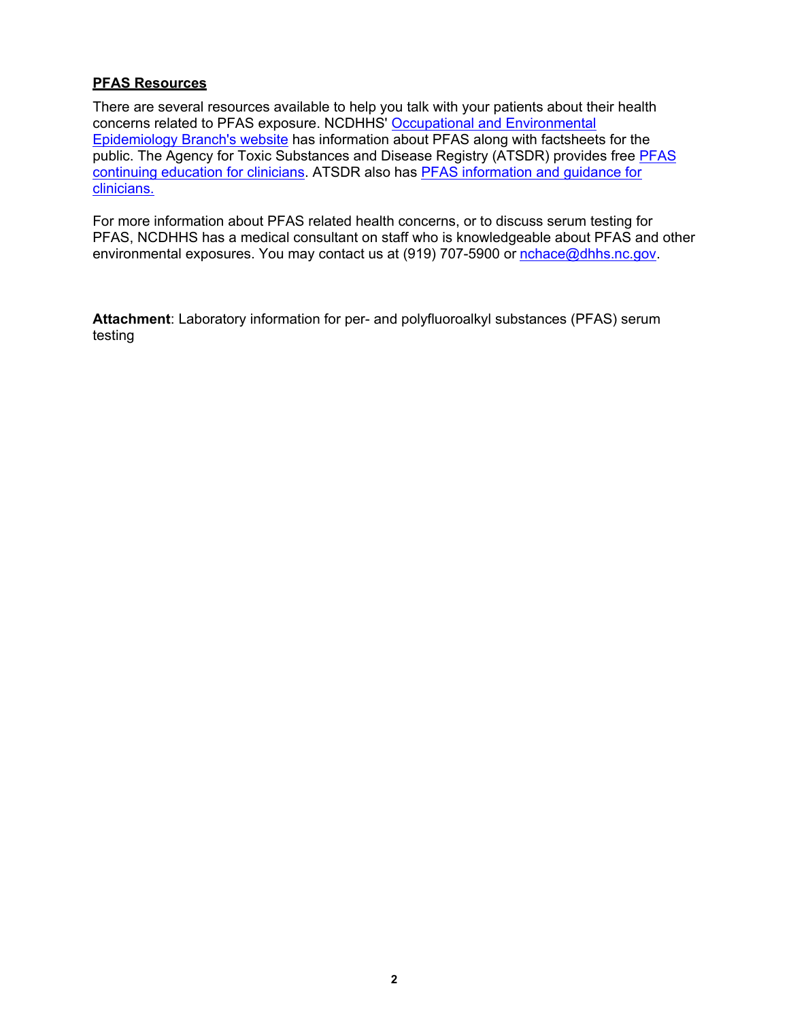### **PFAS Resources**

There are several resources available to help you talk with your patients about their health concerns related to PFAS exposure. NCDHHS' [Occupational and Environmental](https://epi.dph.ncdhhs.gov/oee/a_z/pfas.html) [Epidemiology Branch's website](https://epi.dph.ncdhhs.gov/oee/a_z/pfas.html) has information about PFAS along with factsheets for the public. The Agency for Toxic Substances and Disease Registry (ATSDR) provides free [PFAS](https://www.atsdr.cdc.gov/emes/pfas_clinicians_training.html) [continuing education for clinicians.](https://www.atsdr.cdc.gov/emes/pfas_clinicians_training.html) ATSDR also has [PFAS information and guidance for](https://www.atsdr.cdc.gov/pfas/resources/info-for-health-professionals.html) clinicians.

For more information about PFAS related health concerns, or to discuss serum testing for PFAS, NCDHHS has a medical consultant on staff who is knowledgeable about PFAS and other environmental exposures. You may contact us at (919) 707-5900 or [nchace@dhhs.nc.gov.](mailto:nchace@dhhs.nc.gov)

**Attachment**: Laboratory information for per- and polyfluoroalkyl substances (PFAS) serum testing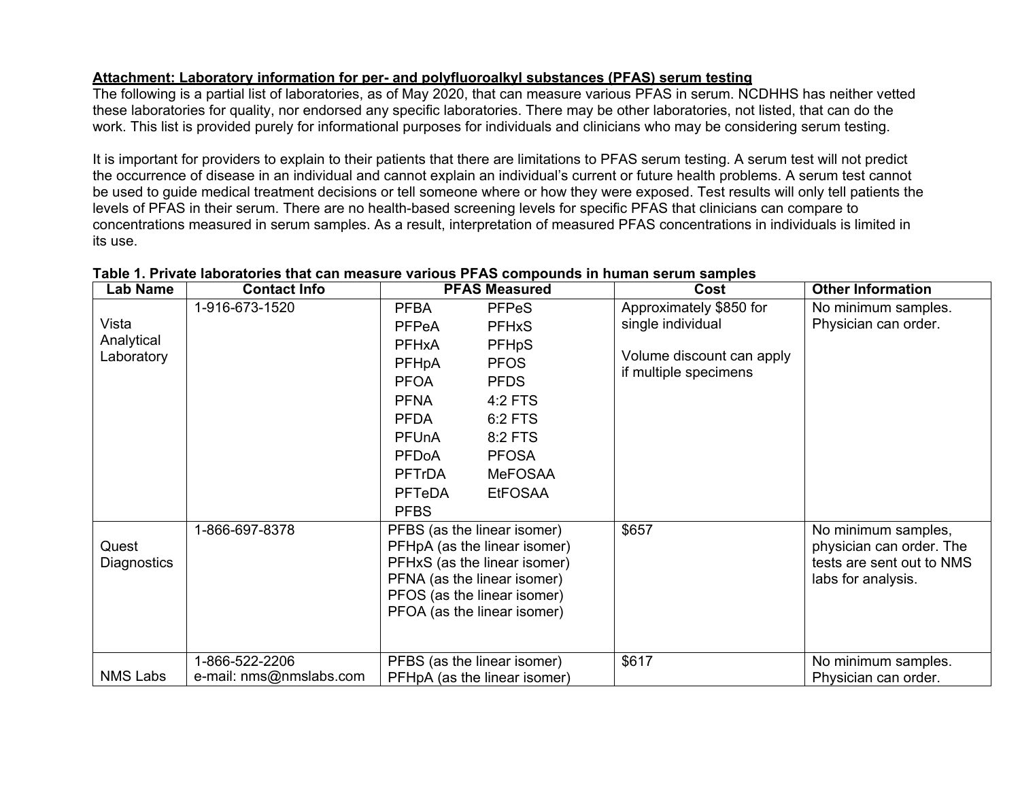### **Attachment: Laboratory information for per- and polyfluoroalkyl substances (PFAS) serum testing**

The following is a partial list of laboratories, as of May 2020, that can measure various PFAS in serum. NCDHHS has neither vetted these laboratories for quality, nor endorsed any specific laboratories. There may be other laboratories, not listed, that can do the work. This list is provided purely for informational purposes for individuals and clinicians who may be considering serum testing.

It is important for providers to explain to their patients that there are limitations to PFAS serum testing. A serum test will not predict the occurrence of disease in an individual and cannot explain an individual's current or future health problems. A serum test cannot be used to guide medical treatment decisions or tell someone where or how they were exposed. Test results will only tell patients the levels of PFAS in their serum. There are no health-based screening levels for specific PFAS that clinicians can compare to concentrations measured in serum samples. As a result, interpretation of measured PFAS concentrations in individuals is limited in its use.

| <b>Lab Name</b> | <b>Contact Info</b>     | <b>PFAS Measured</b>                                                                                                                                                                     |                              | Cost                      | <b>Other Information</b>  |
|-----------------|-------------------------|------------------------------------------------------------------------------------------------------------------------------------------------------------------------------------------|------------------------------|---------------------------|---------------------------|
|                 | 1-916-673-1520          | <b>PFBA</b>                                                                                                                                                                              | <b>PFPeS</b>                 | Approximately \$850 for   | No minimum samples.       |
| Vista           |                         | <b>PFPeA</b>                                                                                                                                                                             | <b>PFHxS</b>                 | single individual         | Physician can order.      |
| Analytical      |                         | <b>PFHxA</b>                                                                                                                                                                             | <b>PFHpS</b>                 |                           |                           |
| Laboratory      |                         | PFHpA                                                                                                                                                                                    | <b>PFOS</b>                  | Volume discount can apply |                           |
|                 |                         | <b>PFOA</b>                                                                                                                                                                              | <b>PFDS</b>                  | if multiple specimens     |                           |
|                 |                         | <b>PFNA</b>                                                                                                                                                                              | 4:2 FTS                      |                           |                           |
|                 |                         | <b>PFDA</b>                                                                                                                                                                              | 6:2 FTS                      |                           |                           |
|                 |                         | PFUnA                                                                                                                                                                                    | 8:2 FTS                      |                           |                           |
|                 |                         | <b>PFDoA</b>                                                                                                                                                                             | <b>PFOSA</b>                 |                           |                           |
|                 |                         | <b>PFTrDA</b>                                                                                                                                                                            | <b>MeFOSAA</b>               |                           |                           |
|                 |                         | <b>PFTeDA</b>                                                                                                                                                                            | <b>EtFOSAA</b>               |                           |                           |
|                 |                         | <b>PFBS</b>                                                                                                                                                                              |                              |                           |                           |
|                 | 1-866-697-8378          | PFBS (as the linear isomer)<br>PFHpA (as the linear isomer)<br>PFHxS (as the linear isomer)<br>PFNA (as the linear isomer)<br>PFOS (as the linear isomer)<br>PFOA (as the linear isomer) |                              | \$657                     | No minimum samples,       |
| Quest           |                         |                                                                                                                                                                                          |                              |                           | physician can order. The  |
| Diagnostics     |                         |                                                                                                                                                                                          |                              |                           | tests are sent out to NMS |
|                 |                         |                                                                                                                                                                                          |                              |                           | labs for analysis.        |
|                 |                         |                                                                                                                                                                                          |                              |                           |                           |
|                 |                         |                                                                                                                                                                                          |                              |                           |                           |
|                 |                         |                                                                                                                                                                                          |                              |                           |                           |
|                 | 1-866-522-2206          |                                                                                                                                                                                          | PFBS (as the linear isomer)  | \$617                     | No minimum samples.       |
| <b>NMS Labs</b> | e-mail: nms@nmslabs.com |                                                                                                                                                                                          | PFHpA (as the linear isomer) |                           | Physician can order.      |

#### **Table 1. Private laboratories that can measure various PFAS compounds in human serum samples**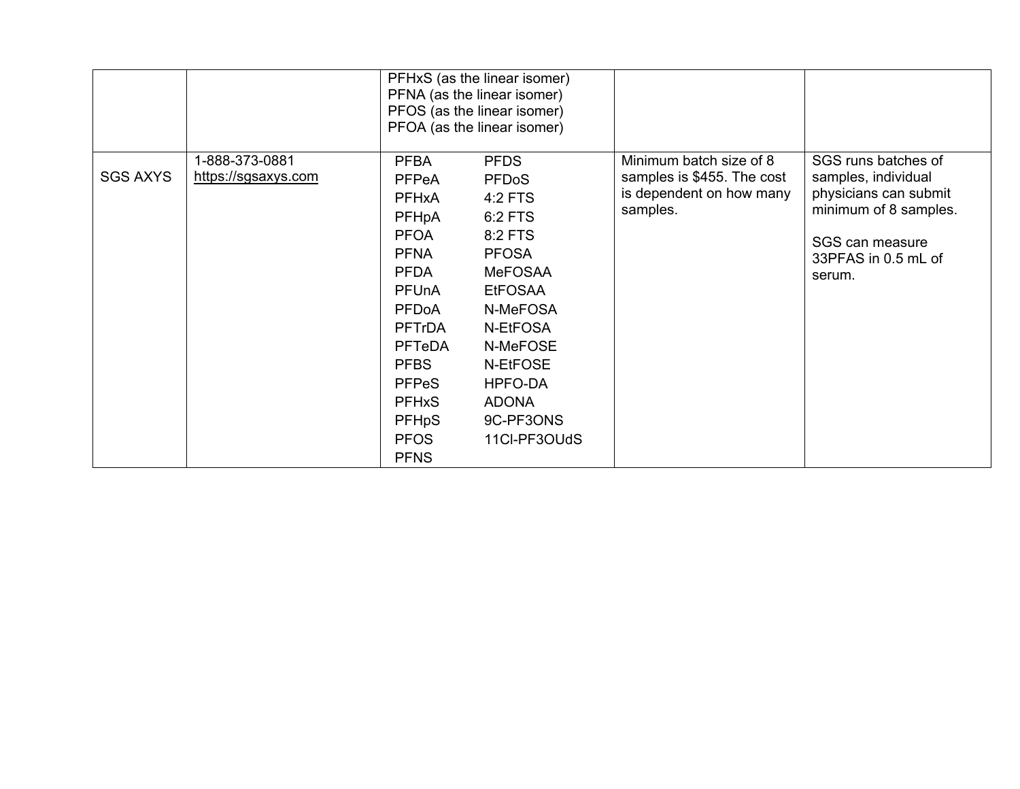|                 |                                       | PFHxS (as the linear isomer)<br>PFNA (as the linear isomer)<br>PFOS (as the linear isomer)<br>PFOA (as the linear isomer)                                                                                                                          |                                                                                                                                                                                                                            |                                                                                               |                                                                                                                                                  |
|-----------------|---------------------------------------|----------------------------------------------------------------------------------------------------------------------------------------------------------------------------------------------------------------------------------------------------|----------------------------------------------------------------------------------------------------------------------------------------------------------------------------------------------------------------------------|-----------------------------------------------------------------------------------------------|--------------------------------------------------------------------------------------------------------------------------------------------------|
| <b>SGS AXYS</b> | 1-888-373-0881<br>https://sgsaxys.com | <b>PFBA</b><br>PFPeA<br><b>PFHxA</b><br>PFHpA<br><b>PFOA</b><br><b>PFNA</b><br><b>PFDA</b><br><b>PFUnA</b><br>PFDoA<br><b>PFTrDA</b><br><b>PFTeDA</b><br><b>PFBS</b><br><b>PFPeS</b><br><b>PFHxS</b><br><b>PFHpS</b><br><b>PFOS</b><br><b>PFNS</b> | <b>PFDS</b><br><b>PFDoS</b><br>$4:2$ FTS<br>6:2 FTS<br>8:2 FTS<br><b>PFOSA</b><br><b>MeFOSAA</b><br><b>EtFOSAA</b><br>N-MeFOSA<br>N-EtFOSA<br>N-MeFOSE<br>N-EtFOSE<br>HPFO-DA<br><b>ADONA</b><br>9C-PF3ONS<br>11CI-PF3OUdS | Minimum batch size of 8<br>samples is \$455. The cost<br>is dependent on how many<br>samples. | SGS runs batches of<br>samples, individual<br>physicians can submit<br>minimum of 8 samples.<br>SGS can measure<br>33PFAS in 0.5 mL of<br>serum. |